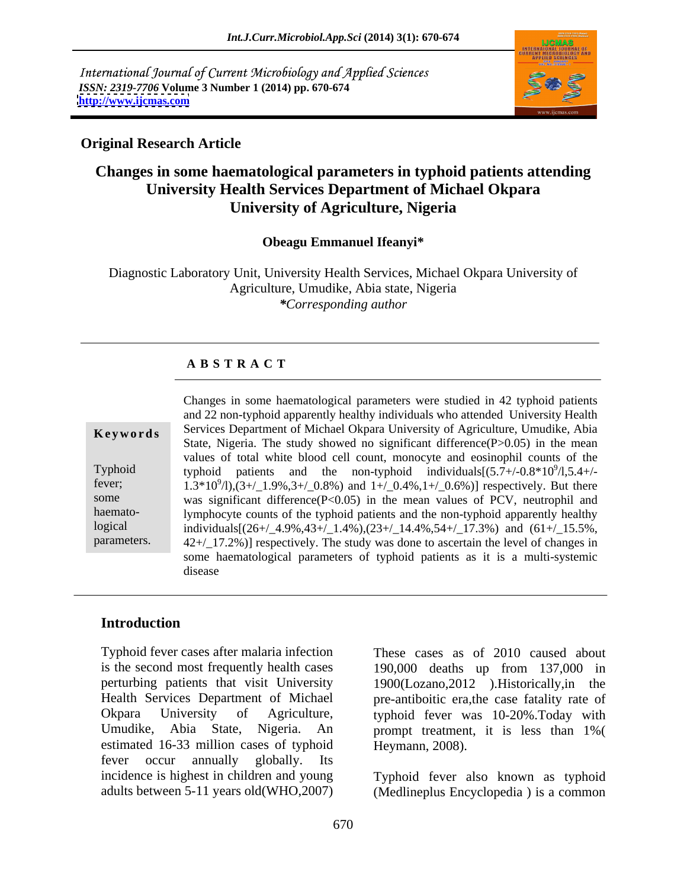International Journal of Current Microbiology and Applied Sciences *ISSN: 2319-7706* **Volume 3 Number 1 (2014) pp. 670-674 <http://www.ijcmas.com>**



#### **Original Research Article**

# **Changes in some haematological parameters in typhoid patients attending University Health Services Department of Michael Okpara University of Agriculture, Nigeria**

#### **Obeagu Emmanuel Ifeanyi\***

Diagnostic Laboratory Unit, University Health Services, Michael Okpara University of Agriculture, Umudike, Abia state, Nigeria *\*Corresponding author*

#### **A B S T R A C T**

| Keywords                                                        |
|-----------------------------------------------------------------|
| Typhoid<br>fever;<br>some<br>haemato-<br>logical<br>parameters. |
|                                                                 |

**Keywords** Services Department of Michael Okpara University of Agriculture, Umudike, Abia Typhoid typhoid patients and the non-typhoid individuals $[(5.7 + (-0.8 * 10^9)/1.5.4 + (-0.8 * 10^9)]$ Typhoid typhoid patients and the non-typhoid individuals  $[(5.7+/0.8*10^9/1,5.4+/-1.3*10^9/1), (3+/-1.9%, 3+/-0.8%)$  and  $1+/-0.4%, 1+/-0.6%)$  respectively. But there some was significant difference(P<0.05) in the mean values of PCV, neutrophil and logical individuals[(26+/\_4.9%,43+/\_1.4%),(23+/\_14.4%,54+/\_17.3%) and (61+/\_15.5%, parameters. 42+/\_17.2%)] respectively. The study was done to ascertain the level of changes in Changes in some haematological parameters were studied in 42 typhoid patients and 22 non-typhoid apparently healthy individuals who attended University Health State, Nigeria. The study showed no significant difference (P>0.05) in the mean values of total white blood cell count, monocyte and eosinophil counts of the lymphocyte counts of the typhoid patients and the non-typhoid apparently healthy some haematological parameters of typhoid patients as it is a multi-systemic disease

### **Introduction**

Typhoid fever cases after malaria infection These cases as of 2010 caused about is the second most frequently health cases 190,000 deaths up from 137,000 in perturbing patients that visit University 1900(Lozano,2012 ).Historically,in the Health Services Department of Michael pre-antiboitic era,the case fatality rate of Okpara University of Agriculture, typhoid fever was 10-20%.Today with Umudike, Abia State, Nigeria. An estimated 16-33 million cases of typhoid fever occur annually globally. Its incidence is highest in children and young Typhoid fever also known as typhoid

prompt treatment, it is less than 1%( Heymann, 2008).

adults between 5-11 years old(WHO,2007) (Medlineplus Encyclopedia ) is a common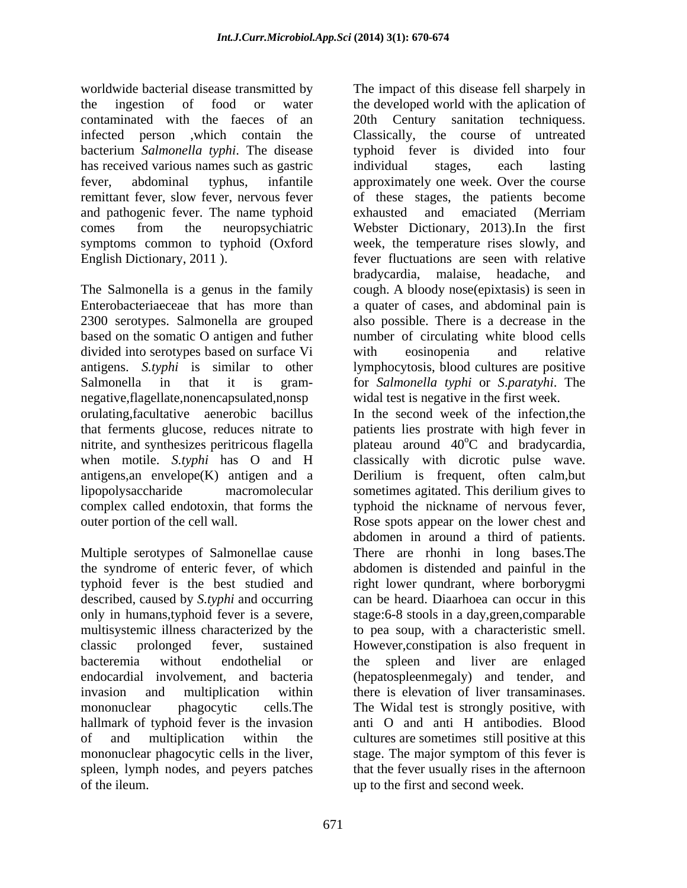worldwide bacterial disease transmitted by the ingestion of food or water the developed world with the aplication of contaminated with the faeces of an 20th Century sanitation techniquess. infected person ,which contain the Classically, the course of untreated bacterium *Salmonella typhi*. The disease typhoid fever is divided into four has received various names such as gastric individual stages, each lasting fever, abdominal typhus, infantile approximately one week. Over the course remittant fever, slow fever, nervous fever of these stages, the patients become and pathogenic fever. The name typhoid exhausted and emaciated (Merriam comes from the neuropsychiatric Webster Dictionary, 2013).In the first symptoms common to typhoid (Oxford week, the temperature rises slowly, and English Dictionary, 2011 ). fever fluctuations are seen with relative

The Salmonella is a genus in the family Enterobacteriaeceae that has more than a quater of cases, and abdominal pain is 2300 serotypes. Salmonella are grouped also possible. There is a decrease in the based on the somatic O antigen and futher number of circulating white blood cells divided into serotypes based on surface Vi with eosinopenia and relative antigens. *S.typhi* is similar to other lymphocytosis, blood cultures are positive Salmonella in that it is gram- for *Salmonella typhi* or *S*.*paratyhi*. The negative,flagellate,nonencapsulated,nonsp orulating,facultative aenerobic bacillus In the second week of the infection,the that ferments glucose, reduces nitrate to patients lies prostrate with high fever in nitrite, and synthesizes peritricous flagella blateau around 40<sup>o</sup>C and bradycardia, when motile. *S.typhi* has O and H classically with dicrotic pulse wave. antigens,an envelope(K) antigen and a Derilium is frequent, often calm,but lipopolysaccharide macromolecular sometimes agitated. This derilium gives to complex called endotoxin, that forms the typhoid the nickname of nervous fever, outer portion of the cell wall. Rose spots appear on the lower chest and

Multiple serotypes of Salmonellae cause There are rhonhi in long bases.The the syndrome of enteric fever, of which abdomen is distended and painful in the typhoid fever is the best studied and right lower qundrant, where borborygmi described, caused by *S.typhi* and occurring only in humans,typhoid fever is a severe, multisystemic illness characterized by the to pea soup, with a characteristic smell. classic prolonged fever, sustained However,constipation is also frequent in bacteremia without endothelial or the spleen and liver are enlaged endocardial involvement, and bacteria (hepatospleenmegaly) and tender, and invasion and multiplication within there is elevation of liver transaminases. mononuclear phagocytic cells.The The Widal test is strongly positive, with hallmark of typhoid fever is the invasion of and multiplication within the cultures are sometimes still positive at this mononuclear phagocytic cells in the liver, stage. The major symptom of this fever is spleen, lymph nodes, and peyers patches

The impact of this disease fell sharpely in individual stages, each lasting exhausted and emaciated (Merriam bradycardia, malaise, headache, and cough. A bloody nose(epixtasis) is seen in with eosinopenia and relative widal test is negative in the first week.

of the ileum. up to the first and second week.plateau around 40°C and bradycardia,<br>classically with dicrotic pulse wave. abdomen in around a third of patients. can be heard. Diaarhoea can occur in this stage:6-8 stools in a day,green,comparable anti O and anti H antibodies. Blood stage. The major symptom of this fever is that the fever usually rises in the afternoon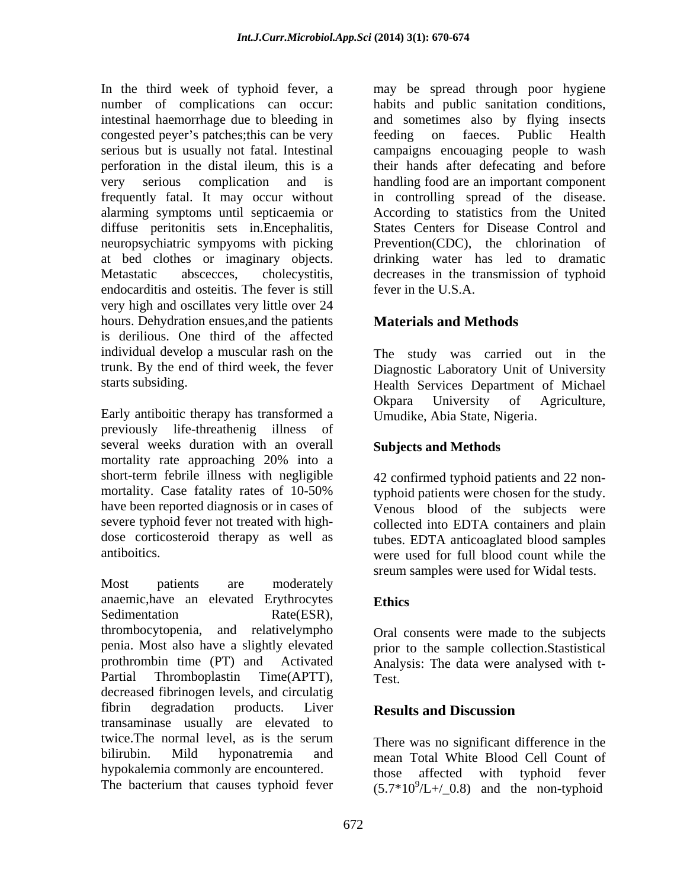In the third week of typhoid fever, a may be spread through poor hygiene number of complications can occur: habits and public sanitation conditions, intestinal haemorrhage due to bleeding in and sometimes also by flying insects congested peyer's patches; this can be very feeding on faeces. Public Health serious but is usually not fatal. Intestinal campaigns encouaging people to wash perforation in the distal ileum, this is a very serious complication and is handling food are an important component frequently fatal. It may occur without in controlling spread of the disease. alarming symptoms until septicaemia or According to statistics from the United diffuse peritonitis sets in.Encephalitis, neuropsychiatric sympyoms with picking Prevention(CDC), the chlorination of at bed clothes or imaginary objects. drinking water has led to dramatic Metastatic abscecces, cholecystitis, decreases in the transmission of typhoid endocarditis and osteitis. The fever is still very high and oscillates very little over 24 hours. Dehydration ensues,and the patients is derilious. One third of the affected individual develop a muscular rash on the The study was carried out in the trunk. By the end of third week, the fever Diagnostic Laboratory Unit of University

Early antiboitic therapy has transformed a previously life-threathenig illness of several weeks duration with an overall mortality rate approaching 20% into a short-term febrile illness with negligible mortality. Case fatality rates of 10-50% typhoid patients were chosen for the study. have been reported diagnosis or in cases of venous blood of the subjects were severe typhoid fever not treated with high-<br>collected into EDTA containers and plain dose corticosteroid therapy as well as tubes. EDTA anticoaglated blood samples

Most patients are moderately anaemic,have an elevated Erythrocytes Sedimentation Rate(ESR), thrombocytopenia, and relativelympho penia. Most also have a slightly elevated prothrombin time (PT) and Activated Analysis: The data were analysed with t- Partial Thromboplastin Time(APTT),  $Test$ decreased fibrinogen levels, and circulatig fibrin degradation products. Liver **Results and Discussion** transaminase usually are elevated to twice. The normal level, as is the serum there was no significant difference in the bilirubin. Mild hyponatremia and mean Total White Blood Cell Count of hypokalemia commonly are encountered. hose affected with typhoid fever

The bacterium that causes typhoid fever

feeding on faeces. Public Health their hands after defecating and before States Centers for Disease Control and fever in the U.S.A.

# **Materials and Methods**

starts subsiding. Health Services Department of Michael Okpara University of Agriculture, Umudike, Abia State, Nigeria.

#### **Subjects and Methods**

antiboitics. were used for full blood count while the 42 confirmed typhoid patients and 22 nonsreum samples were used for Widal tests.

# **Ethics**

Oral consents were made to the subjects prior to the sample collection.Stastistical Test.

# **Results and Discussion**

There was no significant difference in the those affected with typhoid fever  $(5.7*10<sup>9</sup>/L+/0.8)$  and the non-typhoid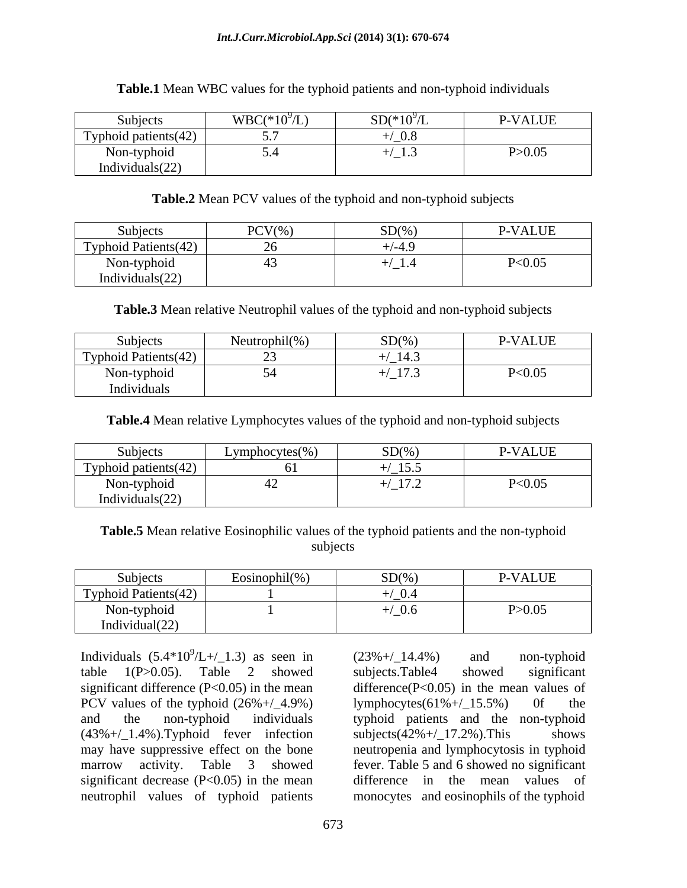#### *Int.J.Curr.Microbiol.App.Sci* **(2014) 3(1): 670-674**

| Subjects                                     | $WBC(*10^9/L)$ | $SD(*109/L)$                                                        | P-VALUE  |
|----------------------------------------------|----------------|---------------------------------------------------------------------|----------|
| Typhoid patients $(42)$<br><u>e y priore</u> | ___            | $\Omega$<br>$U_{\rm C}$                                             |          |
| Non-typhoid<br>$\cdot$ $\cdot$               |                | $\sim$ $\sim$ $\sim$ $\sim$ $\sim$<br>$\blacksquare$ $\blacksquare$ | P > 0.05 |
| Individuals $(22)$                           |                |                                                                     |          |

#### **Table.1** Mean WBC values for the typhoid patients and non-typhoid individuals

#### **Table.2** Mean PCV values of the typhoid and non-typhoid subjects

| $\sim$ $\sim$<br>Subjects                                                                    | $PCV\%$<br>CD(0)<br><b>DL/7</b>                                                                                | <b>P-VALUE</b>                     |
|----------------------------------------------------------------------------------------------|----------------------------------------------------------------------------------------------------------------|------------------------------------|
| Typhoid Patients(42)<br>$\overline{\phantom{a}}$                                             | $\left( \begin{array}{cc} 1 & \mathbf{0} \\ \mathbf{0} & \mathbf{0} \end{array} \right)$<br>$\sim$ $\sim$<br>. |                                    |
| .<br>the contract of the contract of<br>Non-typhoid<br>$\cdot$ $\cdot$<br>Individuals $(22)$ | $1 - 4 - 4$                                                                                                    | $D \triangle O$ $\Omega$<br>550.03 |

**Table.3** Mean relative Neutrophil values of the typhoid and non-typhoid subjects

| Subjects                                                                             | $-1.11(0)'$<br>$\sim$ $\sim$<br>Neutrophil(% | SD(%                 | <b>P-VALUE</b>      |
|--------------------------------------------------------------------------------------|----------------------------------------------|----------------------|---------------------|
| Typhoid Patients (42)<br>$\overline{\phantom{a}}$                                    | $\sim$                                       | 14.3                 |                     |
| Non-typhoid<br>$ -$<br>$\mathbf{r}$ and $\mathbf{r}$ and $\mathbf{r}$<br>Individuals | $\sim$ $\sim$                                | $\left(1.72 \right)$ | $\sqrt{2}$<br>$U.U$ |

**Table.4** Mean relative Lymphocytes values of the typhoid and non-typhoid subjects

| Subjects              | $\rho$ hocytes(%)<br>Lvmp | SD(%                                      | <b>P-VALUE</b> |
|-----------------------|---------------------------|-------------------------------------------|----------------|
| Typhoid patients (42) | $ -$                      | $\sim$ $\sim$ $\sim$<br>$^{\prime}$ _15.5 |                |
| Non-typhoid           |                           | 17 <sup>2</sup><br>$\sqrt{11.2}$          | P<0.05         |
| Individuals $(22)$    |                           |                                           |                |

**Table.5** Mean relative Eosinophilic values of the typhoid patients and the non-typhoid subjects and the state of the state of the state of the state of the state of the state of the state of the state of the state of the state of the state of the state of the state of the state of the state of the state of t

| Subjects<br>__                                                                             | $\dot{\text{L}}$ osinophil $(\% )$ | $SD\%$ | <b>P-VALUE</b> |
|--------------------------------------------------------------------------------------------|------------------------------------|--------|----------------|
| Typhoid Patients(42)                                                                       |                                    | 0.4    |                |
| the contract of the contract of the<br>Non-typhoid<br>$\cdot$ $\cdot$<br>Individual $(22)$ |                                    | 0.6    | P > 0.05       |

Individuals  $(5.4*10^9/L+/-1.3)$  as seen in  $(23\%+/-14.4\%)$  and non-typhoid table 1(P>0.05). Table 2 showed significant difference (P<0.05) in the mean difference(P<0.05) in the mean values of PCV values of the typhoid  $(26\% + / 4.9\%)$  lymphocytes $(61\% + / 15.5\%)$  of the and the non-typhoid individuals typhoid patients and the non-typhoid  $(43\% + / \_1.4\%)$ . Typhoid fever infection subjects $(42\% + / \_17.2\%)$ . This shows may have suppressive effect on the bone neutropenia and lymphocytosis in typhoid marrow activity. Table 3 showed fever. Table 5 and 6 showed no significant significant decrease  $(P<0.05)$  in the mean neutrophil values of typhoid patients monocytes and eosinophils of the typhoid

 $(L+/-1.3)$  as seen in  $(23\%+/-14.4\%)$  and non-typhoid  $(23\% + / \_14.4\%)$  and non-typhoid subjects.Table4 showed significant lymphocytes $(61\% + / \_15.5\%)$ subjects $(42\% + / \_17.2\%)$ . This difference in the mean values of